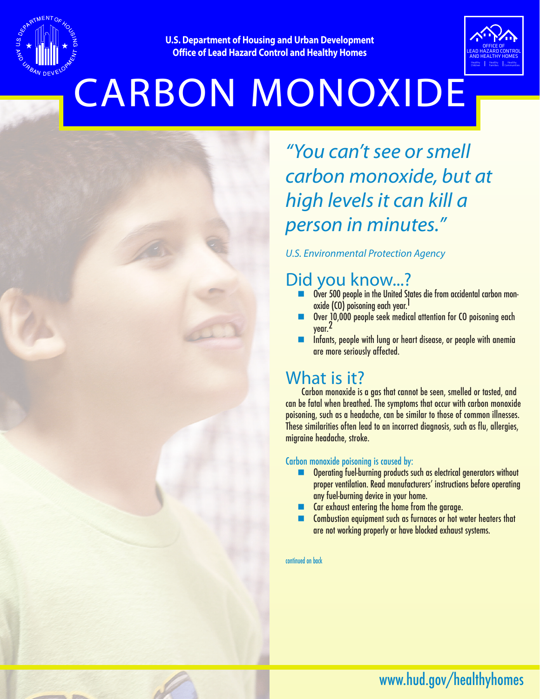

**U.S. Department of Housing and Urban Development Office of Lead Hazard Control and Healthy Homes**



# CARBON MONOXIDE

# *"You can't see or smell carbon monoxide, but at high levels it can kill a person in minutes."*

### *U.S. Environmental Protection Agency*

## Did you know...?

- **n** Over 500 people in the United States die from accidental carbon monoxide (CO) poisoning each year.<sup>1</sup>
- Over 10,000 people seek medical attention for CO poisoning each year.2
- Infants, people with lung or heart disease, or people with anemia are more seriously affected.

### What is it?

Carbon monoxide is a gas that cannot be seen, smelled or tasted, and can be fatal when breathed. The symptoms that occur with carbon monoxide poisoning, such as a headache, can be similar to those of common illnesses. These similarities often lead to an incorrect diagnosis, such as flu, allergies, migraine headache, stroke.

### Carbon monoxide poisoning is caused by:

- **n** Operating fuel-burning products such as electrical generators without proper ventilation. Read manufacturers' instructions before operating any fuel-burning device in your home.
- $\blacksquare$  Car exhaust entering the home from the garage.
- Combustion equipment such as furnaces or hot water heaters that are not working properly or have blocked exhaust systems.

continued on back